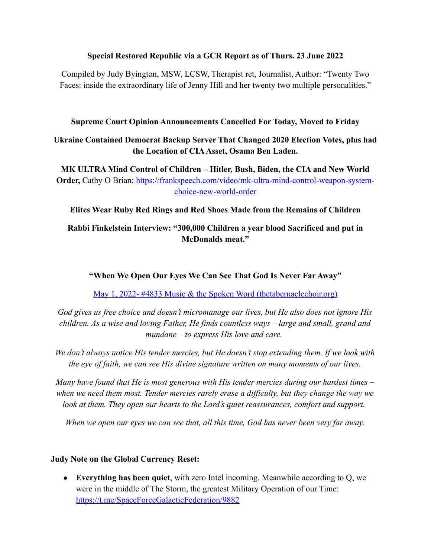### **Special Restored Republic via a GCR Report as of Thurs. 23 June 2022**

Compiled by Judy Byington, MSW, LCSW, Therapist ret, Journalist, Author: "Twenty Two Faces: inside the extraordinary life of Jenny Hill and her twenty two multiple personalities."

### **Supreme Court Opinion Announcements Cancelled For Today, Moved to Friday**

# **Ukraine Contained Democrat Backup Server That Changed 2020 Election Votes, plus had the Location of CIA Asset, Osama Ben Laden.**

**MK ULTRA Mind Control of Children – Hitler, Bush, Biden, the CIA and New World Order,** Cathy O Brian: [https://frankspeech.com/video/mk-ultra-mind-control-weapon-system](https://frankspeech.com/video/mk-ultra-mind-control-weapon-system-choice-new-world-order)[choice-new-world-order](https://frankspeech.com/video/mk-ultra-mind-control-weapon-system-choice-new-world-order)

**Elites Wear Ruby Red Rings and Red Shoes Made from the Remains of Children**

## **Rabbi Finkelstein Interview: "300,000 Children a year blood Sacrificed and put in McDonalds meat."**

**"When We Open Our Eyes We Can See That God Is Never Far Away"**

[May 1, 2022- #4833 Music & the Spoken Word \(thetabernaclechoir.org\)](https://www.thetabernaclechoir.org/videos/may-01-2022-4833-music-and-the-spoken-word.html)

*God gives us free choice and doesn't micromanage our lives, but He also does not ignore His children. As a wise and loving Father, He finds countless ways – large and small, grand and mundane – to express His love and care.* 

*We don't always notice His tender mercies, but He doesn't stop extending them. If we look with the eye of faith, we can see His divine signature written on many moments of our lives.*

*Many have found that He is most generous with His tender mercies during our hardest times – when we need them most. Tender mercies rarely erase a difficulty, but they change the way we look at them. They open our hearts to the Lord's quiet reassurances, comfort and support.* 

*When we open our eyes we can see that, all this time, God has never been very far away.*

## **Judy Note on the Global Currency Reset:**

 **Everything has been quiet**, with zero Intel incoming. Meanwhile according to Q, we were in the middle of The Storm, the greatest Military Operation of our Time: <https://t.me/SpaceForceGalacticFederation/9882>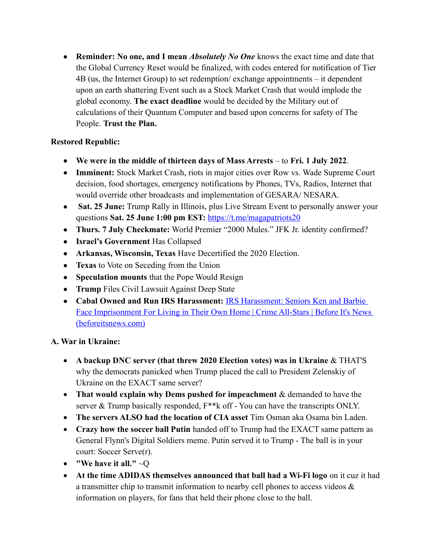**Reminder: No one, and I mean** *Absolutely No One* knows the exact time and date that the Global Currency Reset would be finalized, with codes entered for notification of Tier 4B (us, the Internet Group) to set redemption/ exchange appointments – it dependent upon an earth shattering Event such as a Stock Market Crash that would implode the global economy. **The exact deadline** would be decided by the Military out of calculations of their Quantum Computer and based upon concerns for safety of The People. **Trust the Plan.**

# **Restored Republic:**

- **We were in the middle of thirteen days of Mass Arrests** to **Fri. 1 July 2022**.
- **Imminent:** Stock Market Crash, riots in major cities over Row vs. Wade Supreme Court decision, food shortages, emergency notifications by Phones, TVs, Radios, Internet that would override other broadcasts and implementation of GESARA/ NESARA.
- **Sat. 25 June:** Trump Rally in Illinois, plus Live Stream Event to personally answer your questions **Sat. 25 June 1:00 pm EST:** <https://t.me/magapatriots20>
- **Thurs. 7 July Checkmate:** World Premier "2000 Mules." JFK Jr. identity confirmed?
- **Israel's Government** Has Collapsed
- **Arkansas, Wisconsin, Texas** Have Decertified the 2020 Election.
- **Texas** to Vote on Seceding from the Union
- **Speculation mounts** that the Pope Would Resign
- **Trump** Files Civil Lawsuit Against Deep State
- **Cabal Owned and Run IRS Harassment:** [IRS Harassment: Seniors Ken and Barbie](https://beforeitsnews.com/crime-all-stars/2022/06/irs-harassment-seniors-ken-and-barbie-face-imprisonment-for-living-in-their-own-home-2494688.html)  Face Imprisonment For Living in Their Own Home | Crime All-Stars | Before It's News [\(beforeitsnews.com\)](https://beforeitsnews.com/crime-all-stars/2022/06/irs-harassment-seniors-ken-and-barbie-face-imprisonment-for-living-in-their-own-home-2494688.html)

## **A. War in Ukraine:**

- **A backup DNC server (that threw 2020 Election votes) was in Ukraine** & THAT'S why the democrats panicked when Trump placed the call to President Zelenskiy of Ukraine on the EXACT same server?
- **That would explain why Dems pushed for impeachment** & demanded to have the server & Trump basically responded,  $F^{**}$ k off - You can have the transcripts ONLY.
- **The servers ALSO had the location of CIA asset** Tim Osman aka Osama bin Laden.
- **Crazy how the soccer ball Putin** handed off to Trump had the EXACT same pattern as General Flynn's Digital Soldiers meme. Putin served it to Trump - The ball is in your court: Soccer Serve(r).
- **"We have it all."** ~Q
- **At the time ADIDAS themselves announced that ball had a Wi-Fi logo** on it cuz it had a transmitter chip to transmit information to nearby cell phones to access videos & information on players, for fans that held their phone close to the ball.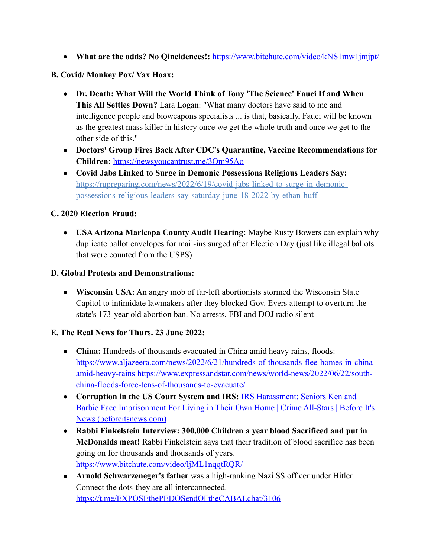• What are the odds? No Qincidences!: <https://www.bitchute.com/video/kNS1mw1jmjpt/>

### **B. Covid/ Monkey Pox/ Vax Hoax:**

- **Dr. Death: What Will the World Think of Tony 'The Science' Fauci If and When This All Settles Down?** Lara Logan: "What many doctors have said to me and intelligence people and bioweapons specialists ... is that, basically, Fauci will be known as the greatest mass killer in history once we get the whole truth and once we get to the other side of this."
- **Doctors' Group Fires Back After CDC's Quarantine, Vaccine Recommendations for Children:** <https://newsyoucantrust.me/3Om95Ao>
- **Covid Jabs Linked to Surge in Demonic Possessions Religious Leaders Say:**  https://rupreparing.com/news/2022/6/19/covid-jabs-linked-to-surge-in-demonicpossessions-religious-leaders-say-saturday-june-18-2022-by-ethan-huff

### **C. 2020 Election Fraud:**

 **USA Arizona Maricopa County Audit Hearing:** Maybe Rusty Bowers can explain why duplicate ballot envelopes for mail-ins surged after Election Day (just like illegal ballots that were counted from the USPS)

### **D. Global Protests and Demonstrations:**

 **Wisconsin USA:** An angry mob of far-left abortionists stormed the Wisconsin State Capitol to intimidate lawmakers after they blocked Gov. Evers attempt to overturn the state's 173-year old abortion ban. No arrests, FBI and DOJ radio silent

### **E. The Real News for Thurs. 23 June 2022:**

- **China:** Hundreds of thousands evacuated in China amid heavy rains, floods: [https://www.aljazeera.com/news/2022/6/21/hundreds-of-thousands-flee-homes-in-china](https://www.aljazeera.com/news/2022/6/21/hundreds-of-thousands-flee-homes-in-china-amid-heavy-rains)[amid-heavy-rains](https://www.aljazeera.com/news/2022/6/21/hundreds-of-thousands-flee-homes-in-china-amid-heavy-rains) [https://www.expressandstar.com/news/world-news/2022/06/22/south](https://www.expressandstar.com/news/world-news/2022/06/22/south-china-floods-force-tens-of-thousands-to-evacuate/)[china-floods-force-tens-of-thousands-to-evacuate/](https://www.expressandstar.com/news/world-news/2022/06/22/south-china-floods-force-tens-of-thousands-to-evacuate/)
- **Corruption in the US Court System and IRS:** [IRS Harassment: Seniors Ken and](https://beforeitsnews.com/crime-all-stars/2022/06/irs-harassment-seniors-ken-and-barbie-face-imprisonment-for-living-in-their-own-home-2494688.html)  [Barbie Face Imprisonment For Living in Their Own Home | Crime All-Stars | Before It's](https://beforeitsnews.com/crime-all-stars/2022/06/irs-harassment-seniors-ken-and-barbie-face-imprisonment-for-living-in-their-own-home-2494688.html)  [News \(beforeitsnews.com\)](https://beforeitsnews.com/crime-all-stars/2022/06/irs-harassment-seniors-ken-and-barbie-face-imprisonment-for-living-in-their-own-home-2494688.html)
- **Rabbi Finkelstein Interview: 300,000 Children a year blood Sacrificed and put in McDonalds meat!** Rabbi Finkelstein says that their tradition of blood sacrifice has been going on for thousands and thousands of years. <https://www.bitchute.com/video/ljML1nqqtRQR/>
- **Arnold Schwarzeneger's father** was a high-ranking Nazi SS officer under Hitler. Connect the dots-they are all interconnected. <https://t.me/EXPOSEthePEDOSendOFtheCABALchat/3106>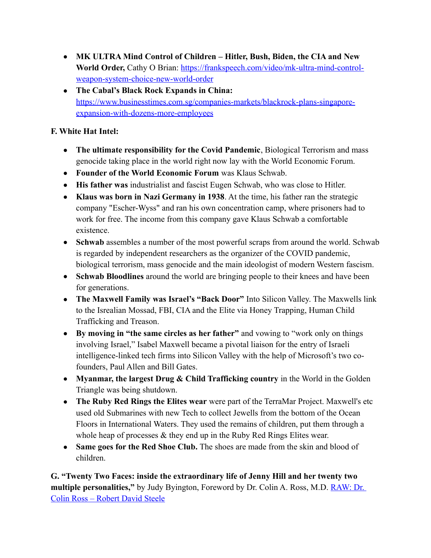- **MK ULTRA Mind Control of Children Hitler, Bush, Biden, the CIA and New**  World Order, Cathy O Brian: [https://frankspeech.com/video/mk-ultra-mind-control](https://frankspeech.com/video/mk-ultra-mind-control-weapon-system-choice-new-world-order)[weapon-system-choice-new-world-order](https://frankspeech.com/video/mk-ultra-mind-control-weapon-system-choice-new-world-order)
- **The Cabal's Black Rock Expands in China:** [https://www.businesstimes.com.sg/companies-markets/blackrock-plans-singapore](https://www.businesstimes.com.sg/companies-markets/blackrock-plans-singapore-expansion-with-dozens-more-employees)[expansion-with-dozens-more-employees](https://www.businesstimes.com.sg/companies-markets/blackrock-plans-singapore-expansion-with-dozens-more-employees)

## **F. White Hat Intel:**

- **The ultimate responsibility for the Covid Pandemic**, Biological Terrorism and mass genocide taking place in the world right now lay with the World Economic Forum.
- **Founder of the World Economic Forum** was Klaus Schwab.
- **His father was** industrialist and fascist Eugen Schwab, who was close to Hitler.
- **Klaus was born in Nazi Germany in 1938**. At the time, his father ran the strategic company "Escher-Wyss" and ran his own concentration camp, where prisoners had to work for free. The income from this company gave Klaus Schwab a comfortable existence.
- **Schwab** assembles a number of the most powerful scraps from around the world. Schwab is regarded by independent researchers as the organizer of the COVID pandemic, biological terrorism, mass genocide and the main ideologist of modern Western fascism.
- **Schwab Bloodlines** around the world are bringing people to their knees and have been for generations.
- **The Maxwell Family was Israel's "Back Door"** Into Silicon Valley. The Maxwells link to the Isrealian Mossad, FBI, CIA and the Elite via Honey Trapping, Human Child Trafficking and Treason.
- **By moving in "the same circles as her father"** and vowing to "work only on things involving Israel," Isabel Maxwell became a pivotal liaison for the entry of Israeli intelligence-linked tech firms into Silicon Valley with the help of Microsoft's two cofounders, Paul Allen and Bill Gates.
- **Myanmar, the largest Drug & Child Trafficking country** in the World in the Golden Triangle was being shutdown.
- **The Ruby Red Rings the Elites wear** were part of the TerraMar Project. Maxwell's etc used old Submarines with new Tech to collect Jewells from the bottom of the Ocean Floors in International Waters. They used the remains of children, put them through a whole heap of processes  $\&$  they end up in the Ruby Red Rings Elites wear.
- Same goes for the Red Shoe Club. The shoes are made from the skin and blood of children.

**G. "Twenty Two Faces: inside the extraordinary life of Jenny Hill and her twenty two multiple personalities,"** by Judy Byington, Foreword by Dr. Colin A. Ross, M.D. **RAW: Dr.** [Colin Ross – Robert David Steele](https://robertdavidsteele.com/dr-colin-ross/)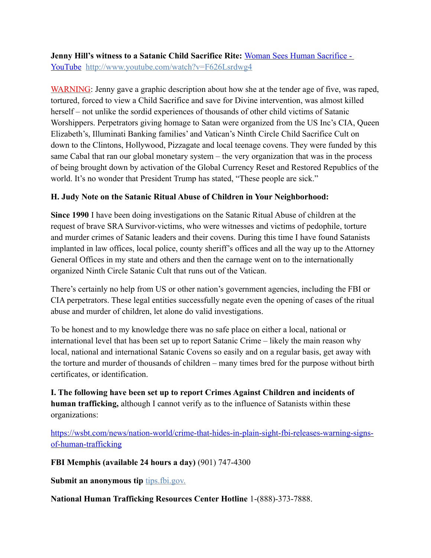**Jenny Hill's witness to a Satanic Child Sacrifice Rite:** [Woman Sees Human Sacrifice -](https://www.youtube.com/watch?v=F626Lsrdwg4)  [YouTube http://www.youtube.com/watch?v=F626Lsrdwg4](https://www.youtube.com/watch?v=F626Lsrdwg4)

WARNING: Jenny gave a graphic description about how she at the tender age of five, was raped, tortured, forced to view a Child Sacrifice and save for Divine intervention, was almost killed herself – not unlike the sordid experiences of thousands of other child victims of Satanic Worshippers. Perpetrators giving homage to Satan were organized from the US Inc's CIA, Queen Elizabeth's, Illuminati Banking families' and Vatican's Ninth Circle Child Sacrifice Cult on down to the Clintons, Hollywood, Pizzagate and local teenage covens. They were funded by this same Cabal that ran our global monetary system – the very organization that was in the process of being brought down by activation of the Global Currency Reset and Restored Republics of the world. It's no wonder that President Trump has stated, "These people are sick."

## **H. Judy Note on the Satanic Ritual Abuse of Children in Your Neighborhood:**

**Since 1990** I have been doing investigations on the Satanic Ritual Abuse of children at the request of brave SRA Survivor-victims, who were witnesses and victims of pedophile, torture and murder crimes of Satanic leaders and their covens. During this time I have found Satanists implanted in law offices, local police, county sheriff's offices and all the way up to the Attorney General Offices in my state and others and then the carnage went on to the internationally organized Ninth Circle Satanic Cult that runs out of the Vatican.

There's certainly no help from US or other nation's government agencies, including the FBI or CIA perpetrators. These legal entities successfully negate even the opening of cases of the ritual abuse and murder of children, let alone do valid investigations.

To be honest and to my knowledge there was no safe place on either a local, national or international level that has been set up to report Satanic Crime – likely the main reason why local, national and international Satanic Covens so easily and on a regular basis, get away with the torture and murder of thousands of children – many times bred for the purpose without birth certificates, or identification.

**I. The following have been set up to report Crimes Against Children and incidents of human trafficking,** although I cannot verify as to the influence of Satanists within these organizations:

[https://wsbt.com/news/nation-world/crime-that-hides-in-plain-sight-fbi-releases-warning-signs](https://wsbt.com/news/nation-world/crime-that-hides-in-plain-sight-fbi-releases-warning-signs-of-human-trafficking?video=e56ba52a1b9d45ad8c8a033fd83fe480&jwsource=cl)[of-human-trafficking](https://wsbt.com/news/nation-world/crime-that-hides-in-plain-sight-fbi-releases-warning-signs-of-human-trafficking?video=e56ba52a1b9d45ad8c8a033fd83fe480&jwsource=cl)

**FBI Memphis (available 24 hours a day)** (901) 747-4300

Submit an anonymous tip tips.fbi.gov.

**National Human Trafficking Resources Center Hotline** 1-(888)-373-7888.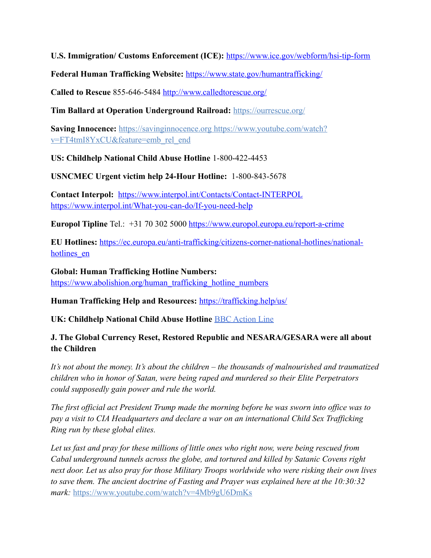**U.S. Immigration/ Customs Enforcement (ICE):** <https://www.ice.gov/webform/hsi-tip-form>

**Federal Human Trafficking Website:** <https://www.state.gov/humantrafficking/>

**Called to Rescue** 855-646-5484<http://www.calledtorescue.org/>

**Tim Ballard at Operation Underground Railroad:** <https://ourrescue.org/>

**Saving Innocence:** [https://savinginnocence.org](https://savinginnocence.org/) [https://www.youtube.com/watch?](https://www.youtube.com/watch?v=FT4tmI8YxCU&feature=emb_rel_end) [v=FT4tmI8YxCU&feature=emb\\_rel\\_end](https://www.youtube.com/watch?v=FT4tmI8YxCU&feature=emb_rel_end)

**US: Childhelp National Child Abuse Hotline** 1-800-422-4453

**USNCMEC Urgent victim help 24-Hour Hotline:** 1-800-843-5678

**Contact Interpol:** <https://www.interpol.int/Contacts/Contact-INTERPOL> <https://www.interpol.int/What-you-can-do/If-you-need-help>

**Europol Tipline** Tel.: +31 70 302 5000<https://www.europol.europa.eu/report-a-crime>

**EU Hotlines:** [https://ec.europa.eu/anti-trafficking/citizens-corner-national-hotlines/national](https://ec.europa.eu/anti-trafficking/citizens-corner-national-hotlines/national-hotlines_en)hotlines en

**Global: Human Trafficking Hotline Numbers:** [https://www.abolishion.org/human\\_trafficking\\_hotline\\_numbers](https://www.abolishion.org/human_trafficking_hotline_numbers)

**Human Trafficking Help and Resources:** <https://trafficking.help/us/>

**UK: Childhelp National Child Abuse Hotline** [BBC Action Line](https://www.bbc.co.uk/actionline)

## **J. The Global Currency Reset, Restored Republic and NESARA/GESARA were all about the Children**

*It's not about the money. It's about the children – the thousands of malnourished and traumatized children who in honor of Satan, were being raped and murdered so their Elite Perpetrators could supposedly gain power and rule the world.* 

*The first official act President Trump made the morning before he was sworn into office was to pay a visit to CIA Headquarters and declare a war on an international Child Sex Trafficking Ring run by these global elites.* 

*Let us fast and pray for these millions of little ones who right now, were being rescued from Cabal underground tunnels across the globe, and tortured and killed by Satanic Covens right next door. Let us also pray for those Military Troops worldwide who were risking their own lives to save them. The ancient doctrine of Fasting and Prayer was explained here at the 10:30:32 mark:* <https://www.youtube.com/watch?v=4Mb9gU6DmKs>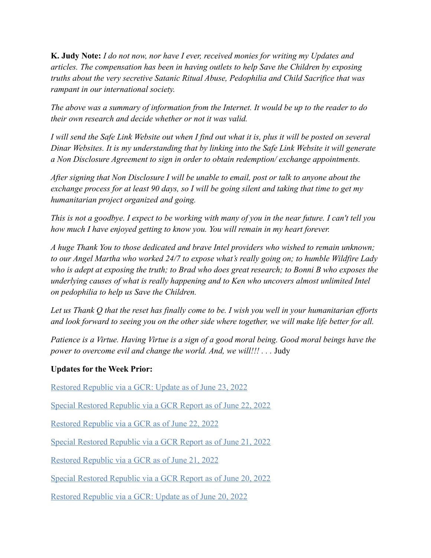**K. Judy Note:** *I do not now, nor have I ever, received monies for writing my Updates and articles. The compensation has been in having outlets to help Save the Children by exposing truths about the very secretive Satanic Ritual Abuse, Pedophilia and Child Sacrifice that was rampant in our international society.*

*The above was a summary of information from the Internet. It would be up to the reader to do their own research and decide whether or not it was valid.*

*I will send the Safe Link Website out when I find out what it is, plus it will be posted on several Dinar Websites. It is my understanding that by linking into the Safe Link Website it will generate a Non Disclosure Agreement to sign in order to obtain redemption/ exchange appointments.*

*After signing that Non Disclosure I will be unable to email, post or talk to anyone about the exchange process for at least 90 days, so I will be going silent and taking that time to get my humanitarian project organized and going.*

*This is not a goodbye. I expect to be working with many of you in the near future. I can't tell you how much I have enjoyed getting to know you. You will remain in my heart forever.*

*A huge Thank You to those dedicated and brave Intel providers who wished to remain unknown; to our Angel Martha who worked 24/7 to expose what's really going on; to humble Wildfire Lady who is adept at exposing the truth; to Brad who does great research; to Bonni B who exposes the underlying causes of what is really happening and to Ken who uncovers almost unlimited Intel on pedophilia to help us Save the Children.*

*Let us Thank Q that the reset has finally come to be. I wish you well in your humanitarian efforts and look forward to seeing you on the other side where together, we will make life better for all.*

*Patience is a Virtue. Having Virtue is a sign of a good moral being. Good moral beings have the power to overcome evil and change the world. And, we will!!!* . . . Judy

### **Updates for the Week Prior:**

[Restored Republic via a GCR: Update as of June 23, 2022](https://operationdisclosureofficial.com/2022/06/23/restored-republic-via-a-gcr-as-of-june-23-2022/)

[Special Restored Republic via a GCR Report as of June 22, 2022](https://operationdisclosureofficial.com/2022/06/22/special-restored-republic-via-a-gcr-report-as-of-june-22-2022/)

[Restored Republic via a GCR as of June 22, 2022](https://operationdisclosureofficial.com/2022/06/22/restored-republic-via-a-gcr-as-of-june-22-2022/)

[Special Restored Republic via a GCR Report as of June 21, 2022](https://operationdisclosureofficial.com/2022/06/21/special-restored-republic-via-a-gcr-report-as-of-june-21-2022/)

[Restored Republic via a GCR as of June 21, 2022](https://operationdisclosureofficial.com/2022/06/21/restored-republic-via-a-gcr-as-of-june-21-2022/)

[Special Restored Republic via a GCR Report as of June 20, 2022](https://operationdisclosureofficial.com/2022/06/20/special-restored-republic-via-a-gcr-report-as-of-june-20-2022/)

[Restored Republic via a GCR: Update as of June 20, 2022](https://operationdisclosureofficial.com/2022/06/20/restored-republic-via-a-gcr-as-of-june-20-2022/)